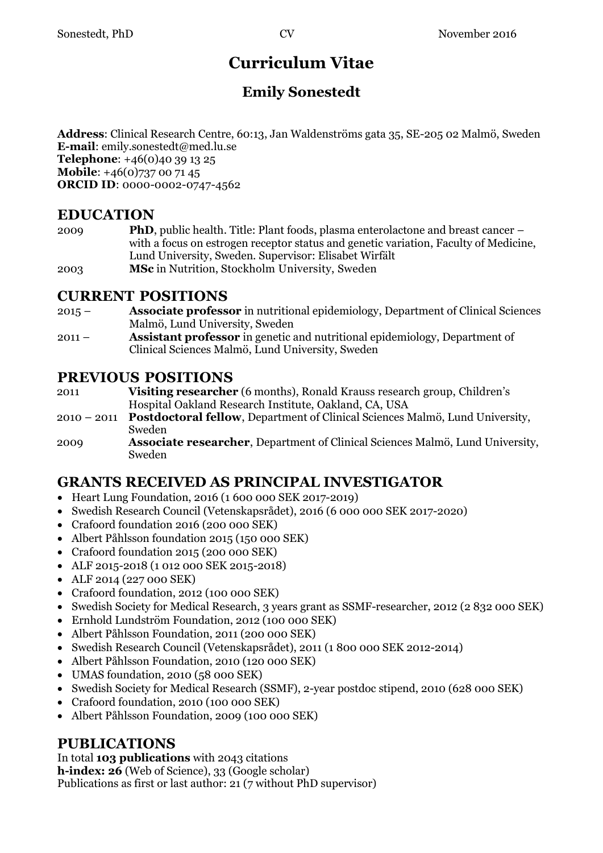# **Curriculum Vitae**

## **Emily Sonestedt**

**Address**: Clinical Research Centre, 60:13, Jan Waldenströms gata 35, SE-205 02 Malmö, Sweden **E-mail**: emily.sonestedt@med.lu.se **Telephone**: +46(0)40 39 13 25 **Mobile:** +46(0)737 00 71 45 **ORCID ID**: 0000-0002-0747-4562

#### **EDUCATION**

- 2009 **PhD**, public health. Title: Plant foods, plasma enterolactone and breast cancer with a focus on estrogen receptor status and genetic variation, Faculty of Medicine, Lund University, Sweden. Supervisor: Elisabet Wirfält
- 2003 **MSc** in Nutrition, Stockholm University, Sweden

#### **CURRENT POSITIONS**

- 2015 **Associate professor** in nutritional epidemiology, Department of Clinical Sciences Malmö, Lund University, Sweden
- 2011 **Assistant professor** in genetic and nutritional epidemiology, Department of Clinical Sciences Malmö, Lund University, Sweden

#### **PREVIOUS POSITIONS**

2011 **Visiting researcher** (6 months), Ronald Krauss research group, Children's Hospital Oakland Research Institute, Oakland, CA, USA

- 2010 2011 **Postdoctoral fellow**, Department of Clinical Sciences Malmö, Lund University, Sweden
- 2009 **Associate researcher**, Department of Clinical Sciences Malmö, Lund University, Sweden

## **GRANTS RECEIVED AS PRINCIPAL INVESTIGATOR**

- Heart Lung Foundation, 2016 (1 600 000 SEK 2017-2019)
- Swedish Research Council (Vetenskapsrådet), 2016 (6 000 000 SEK 2017-2020)
- Crafoord foundation 2016 (200 000 SEK)
- Albert Påhlsson foundation 2015 (150 000 SEK)
- Crafoord foundation 2015 (200 000 SEK)
- ALF 2015-2018 (1 012 000 SEK 2015-2018)
- ALF 2014 (227 000 SEK)
- Crafoord foundation, 2012 (100 000 SEK)
- Swedish Society for Medical Research, 3 years grant as SSMF-researcher, 2012 (2 832 000 SEK)
- Ernhold Lundström Foundation, 2012 (100 000 SEK)
- Albert Påhlsson Foundation, 2011 (200 000 SEK)
- Swedish Research Council (Vetenskapsrådet), 2011 (1 800 000 SEK 2012-2014)
- Albert Påhlsson Foundation, 2010 (120 000 SEK)
- UMAS foundation, 2010 (58 000 SEK)
- Swedish Society for Medical Research (SSMF), 2-year postdoc stipend, 2010 (628 000 SEK)
- Crafoord foundation, 2010 (100 000 SEK)
- Albert Påhlsson Foundation, 2009 (100 000 SEK)

## **PUBLICATIONS**

In total **103 publications** with 2043 citations

**h-index: 26** (Web of Science), 33 (Google scholar)

Publications as first or last author: 21 (7 without PhD supervisor)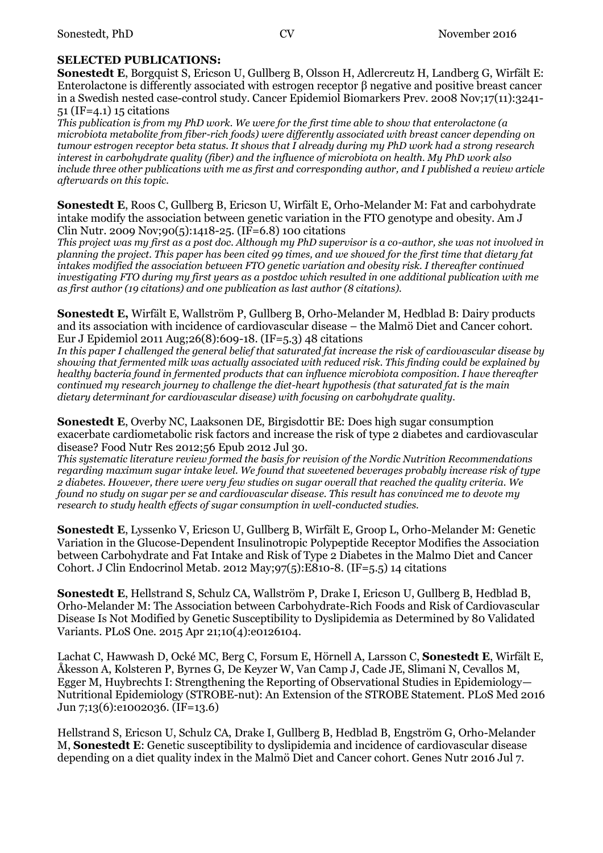#### **SELECTED PUBLICATIONS:**

**Sonestedt E**, Borgquist S, Ericson U, Gullberg B, Olsson H, Adlercreutz H, Landberg G, Wirfält E: Enterolactone is differently associated with estrogen receptor β negative and positive breast cancer in a Swedish nested case-control study. Cancer Epidemiol Biomarkers Prev. 2008 Nov;17(11):3241- 51 (IF=4.1) 15 citations

*This publication is from my PhD work. We were for the first time able to show that enterolactone (a microbiota metabolite from fiber-rich foods) were differently associated with breast cancer depending on tumour estrogen receptor beta status. It shows that I already during my PhD work had a strong research interest in carbohydrate quality (fiber) and the influence of microbiota on health. My PhD work also include three other publications with me as first and corresponding author, and I published a review article afterwards on this topic.*

**Sonestedt E**, Roos C, Gullberg B, Ericson U, Wirfält E, Orho-Melander M: Fat and carbohydrate intake modify the association between genetic variation in the FTO genotype and obesity. Am J Clin Nutr. 2009 Nov;90(5):1418-25. (IF=6.8) 100 citations

*This project was my first as a post doc. Although my PhD supervisor is a co-author, she was not involved in planning the project. This paper has been cited 99 times, and we showed for the first time that dietary fat intakes modified the association between FTO genetic variation and obesity risk. I thereafter continued investigating FTO during my first years as a postdoc which resulted in one additional publication with me as first author (19 citations) and one publication as last author (8 citations).* 

**Sonestedt E,** Wirfält E, Wallström P, Gullberg B, Orho-Melander M, Hedblad B: Dairy products and its association with incidence of cardiovascular disease – the Malmö Diet and Cancer cohort. Eur J Epidemiol 2011 Aug;26(8):609-18. (IF=5.3) 48 citations

*In this paper I challenged the general belief that saturated fat increase the risk of cardiovascular disease by showing that fermented milk was actually associated with reduced risk. This finding could be explained by healthy bacteria found in fermented products that can influence microbiota composition. I have thereafter continued my research journey to challenge the diet-heart hypothesis (that saturated fat is the main dietary determinant for cardiovascular disease) with focusing on carbohydrate quality.* 

**Sonestedt E**, Overby NC, Laaksonen DE, Birgisdottir BE: Does high sugar consumption exacerbate cardiometabolic risk factors and increase the risk of type 2 diabetes and cardiovascular disease? Food Nutr Res 2012;56 Epub 2012 Jul 30.

*This systematic literature review formed the basis for revision of the Nordic Nutrition Recommendations regarding maximum sugar intake level. We found that sweetened beverages probably increase risk of type 2 diabetes. However, there were very few studies on sugar overall that reached the quality criteria. We found no study on sugar per se and cardiovascular disease. This result has convinced me to devote my research to study health effects of sugar consumption in well-conducted studies.* 

**Sonestedt E**, Lyssenko V, Ericson U, Gullberg B, Wirfält E, Groop L, Orho-Melander M: Genetic Variation in the Glucose-Dependent Insulinotropic Polypeptide Receptor Modifies the Association between Carbohydrate and Fat Intake and Risk of Type 2 Diabetes in the Malmo Diet and Cancer Cohort. J Clin Endocrinol Metab. 2012 May;97(5):E810-8. (IF=5.5) 14 citations

**Sonestedt E**, Hellstrand S, Schulz CA, Wallström P, Drake I, Ericson U, Gullberg B, Hedblad B, Orho-Melander M: The Association between Carbohydrate-Rich Foods and Risk of Cardiovascular Disease Is Not Modified by Genetic Susceptibility to Dyslipidemia as Determined by 80 Validated Variants. PLoS One. 2015 Apr 21;10(4):e0126104.

Lachat C, Hawwash D, Ocké MC, Berg C, Forsum E, Hörnell A, Larsson C, **Sonestedt E**, Wirfält E, Åkesson A, Kolsteren P, Byrnes G, De Keyzer W, Van Camp J, Cade JE, Slimani N, Cevallos M, Egger M, Huybrechts I: Strengthening the Reporting of Observational Studies in Epidemiology— Nutritional Epidemiology (STROBE-nut): An Extension of the STROBE Statement. PLoS Med 2016 Jun 7;13(6):e1002036. (IF=13.6)

Hellstrand S, Ericson U, Schulz CA, Drake I, Gullberg B, Hedblad B, Engström G, Orho-Melander M, **Sonestedt E**: Genetic susceptibility to dyslipidemia and incidence of cardiovascular disease depending on a diet quality index in the Malmö Diet and Cancer cohort. Genes Nutr 2016 Jul 7.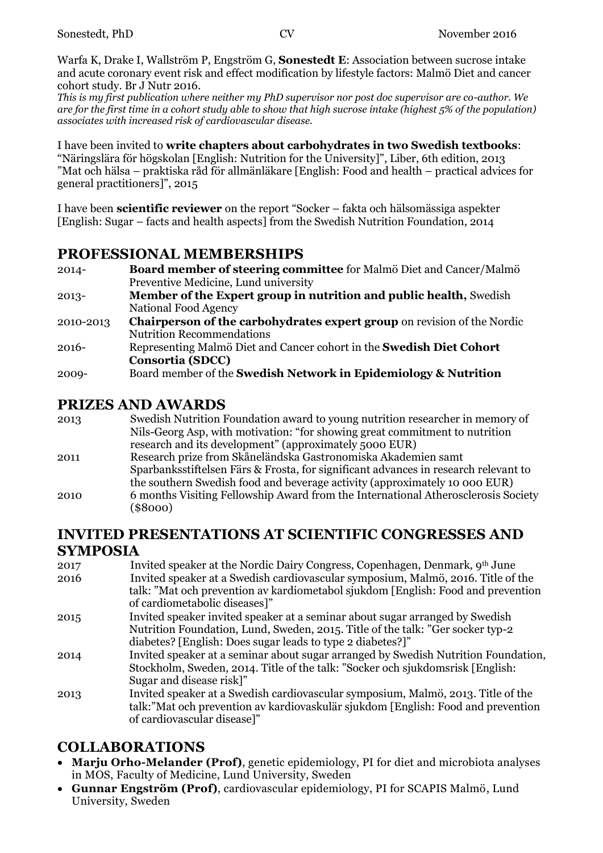Warfa K, Drake I, Wallström P, Engström G, **Sonestedt E**: Association between sucrose intake and acute coronary event risk and effect modification by lifestyle factors: Malmö Diet and cancer cohort study. Br J Nutr 2016.

*This is my first publication where neither my PhD supervisor nor post doc supervisor are co-author. We are for the first time in a cohort study able to show that high sucrose intake (highest 5% of the population) associates with increased risk of cardiovascular disease.* 

I have been invited to **write chapters about carbohydrates in two Swedish textbooks**: "Näringslära för högskolan [English: Nutrition for the University]", Liber, 6th edition, 2013 "Mat och hälsa – praktiska råd för allmänläkare [English: Food and health – practical advices for general practitioners]", 2015

I have been **scientific reviewer** on the report "Socker – fakta och hälsomässiga aspekter [English: Sugar – facts and health aspects] from the Swedish Nutrition Foundation, 2014

#### **PROFESSIONAL MEMBERSHIPS**

| $2014 -$  | Board member of steering committee for Malmö Diet and Cancer/Malmö             |
|-----------|--------------------------------------------------------------------------------|
|           | Preventive Medicine, Lund university                                           |
| $2013 -$  | <b>Member of the Expert group in nutrition and public health, Swedish</b>      |
|           | National Food Agency                                                           |
| 2010-2013 | <b>Chairperson of the carbohydrates expert group</b> on revision of the Nordic |
|           | <b>Nutrition Recommendations</b>                                               |
| 2016-     | Representing Malmö Diet and Cancer cohort in the Swedish Diet Cohort           |
|           | <b>Consortia (SDCC)</b>                                                        |

#### 2009- Board member of the **Swedish Network in Epidemiology & Nutrition**

#### **PRIZES AND AWARDS**

| Nils-Georg Asp, with motivation: "for showing great commitment to nutrition         |
|-------------------------------------------------------------------------------------|
|                                                                                     |
|                                                                                     |
| Sparbanksstiftelsen Färs & Frosta, for significant advances in research relevant to |
| the southern Swedish food and beverage activity (approximately 10 000 EUR)          |
| 6 months Visiting Fellowship Award from the International Atherosclerosis Society   |
|                                                                                     |

#### **INVITED PRESENTATIONS AT SCIENTIFIC CONGRESSES AND SYMPOSIA**

- 2017 Invited speaker at the Nordic Dairy Congress, Copenhagen, Denmark, 9th June 2016 Invited speaker at a Swedish cardiovascular symposium, Malmö, 2016. Title of the talk: "Mat och prevention av kardiometabol sjukdom [English: Food and prevention of cardiometabolic diseases]" 2015 Invited speaker invited speaker at a seminar about sugar arranged by Swedish Nutrition Foundation, Lund, Sweden, 2015. Title of the talk: "Ger socker typ-2
	- diabetes? [English: Does sugar leads to type 2 diabetes?]"
- 2014 Invited speaker at a seminar about sugar arranged by Swedish Nutrition Foundation, Stockholm, Sweden, 2014. Title of the talk: "Socker och sjukdomsrisk [English: Sugar and disease risk]"
- 2013 Invited speaker at a Swedish cardiovascular symposium, Malmö, 2013. Title of the talk:"Mat och prevention av kardiovaskulär sjukdom [English: Food and prevention of cardiovascular disease]"

## **COLLABORATIONS**

- **Marju Orho-Melander (Prof)**, genetic epidemiology, PI for diet and microbiota analyses in MOS, Faculty of Medicine, Lund University, Sweden
- **Gunnar Engström (Prof)**, cardiovascular epidemiology, PI for SCAPIS Malmö, Lund University, Sweden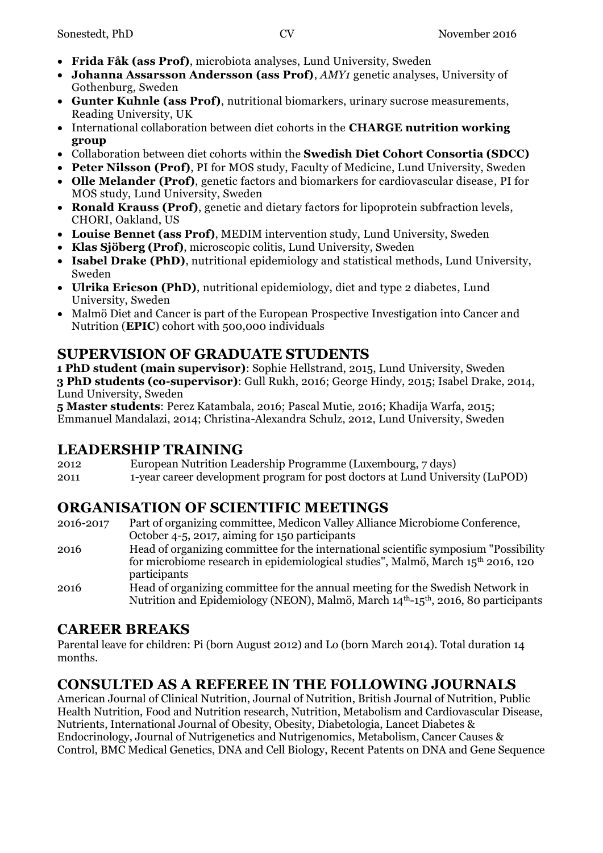- **Frida Fåk (ass Prof)**, microbiota analyses, Lund University, Sweden
- **Johanna Assarsson Andersson (ass Prof)**, *AMY1* genetic analyses, University of Gothenburg, Sweden
- **Gunter Kuhnle (ass Prof)**, nutritional biomarkers, urinary sucrose measurements, Reading University, UK
- International collaboration between diet cohorts in the **CHARGE nutrition working group**
- Collaboration between diet cohorts within the **Swedish Diet Cohort Consortia (SDCC)**
- **Peter Nilsson (Prof)**, PI for MOS study, Faculty of Medicine, Lund University, Sweden
- **Olle Melander (Prof)**, genetic factors and biomarkers for cardiovascular disease, PI for MOS study, Lund University, Sweden
- **Ronald Krauss (Prof)**, genetic and dietary factors for lipoprotein subfraction levels, CHORI, Oakland, US
- **Louise Bennet (ass Prof)**, MEDIM intervention study, Lund University, Sweden
- **Klas Sjöberg (Prof)**, microscopic colitis, Lund University, Sweden
- **Isabel Drake (PhD)**, nutritional epidemiology and statistical methods, Lund University, Sweden
- **Ulrika Ericson (PhD)**, nutritional epidemiology, diet and type 2 diabetes, Lund University, Sweden
- Malmö Diet and Cancer is part of the European Prospective Investigation into Cancer and Nutrition (**EPIC**) cohort with 500,000 individuals

## **SUPERVISION OF GRADUATE STUDENTS**

**1 PhD student (main supervisor)**: Sophie Hellstrand, 2015, Lund University, Sweden **3 PhD students (co-supervisor)**: Gull Rukh, 2016; George Hindy, 2015; Isabel Drake, 2014, Lund University, Sweden

**5 Master students**: Perez Katambala, 2016; Pascal Mutie, 2016; Khadija Warfa, 2015; Emmanuel Mandalazi, 2014; Christina-Alexandra Schulz, 2012, Lund University, Sweden

## **LEADERSHIP TRAINING**

2012 European Nutrition Leadership Programme (Luxembourg, 7 days) 2011 1-year career development program for post doctors at Lund University (LuPOD)

## **ORGANISATION OF SCIENTIFIC MEETINGS**

- 2016-2017 Part of organizing committee, Medicon Valley Alliance Microbiome Conference, October 4-5, 2017, aiming for 150 participants
- 2016 Head of organizing committee for the international scientific symposium "Possibility for microbiome research in epidemiological studies", Malmö, March 15th 2016, 120 participants
- 2016 Head of organizing committee for the annual meeting for the Swedish Network in Nutrition and Epidemiology (NEON), Malmö, March 14th-15th, 2016, 80 participants

## **CAREER BREAKS**

Parental leave for children: Pi (born August 2012) and Lo (born March 2014). Total duration 14 months.

## **CONSULTED AS A REFEREE IN THE FOLLOWING JOURNALS**

American Journal of Clinical Nutrition, Journal of Nutrition, British Journal of Nutrition, Public Health Nutrition, Food and Nutrition research, Nutrition, Metabolism and Cardiovascular Disease, Nutrients, International Journal of Obesity, Obesity, Diabetologia, Lancet Diabetes & Endocrinology, Journal of Nutrigenetics and Nutrigenomics, Metabolism, Cancer Causes & Control, BMC Medical Genetics, DNA and Cell Biology, Recent Patents on DNA and Gene Sequence